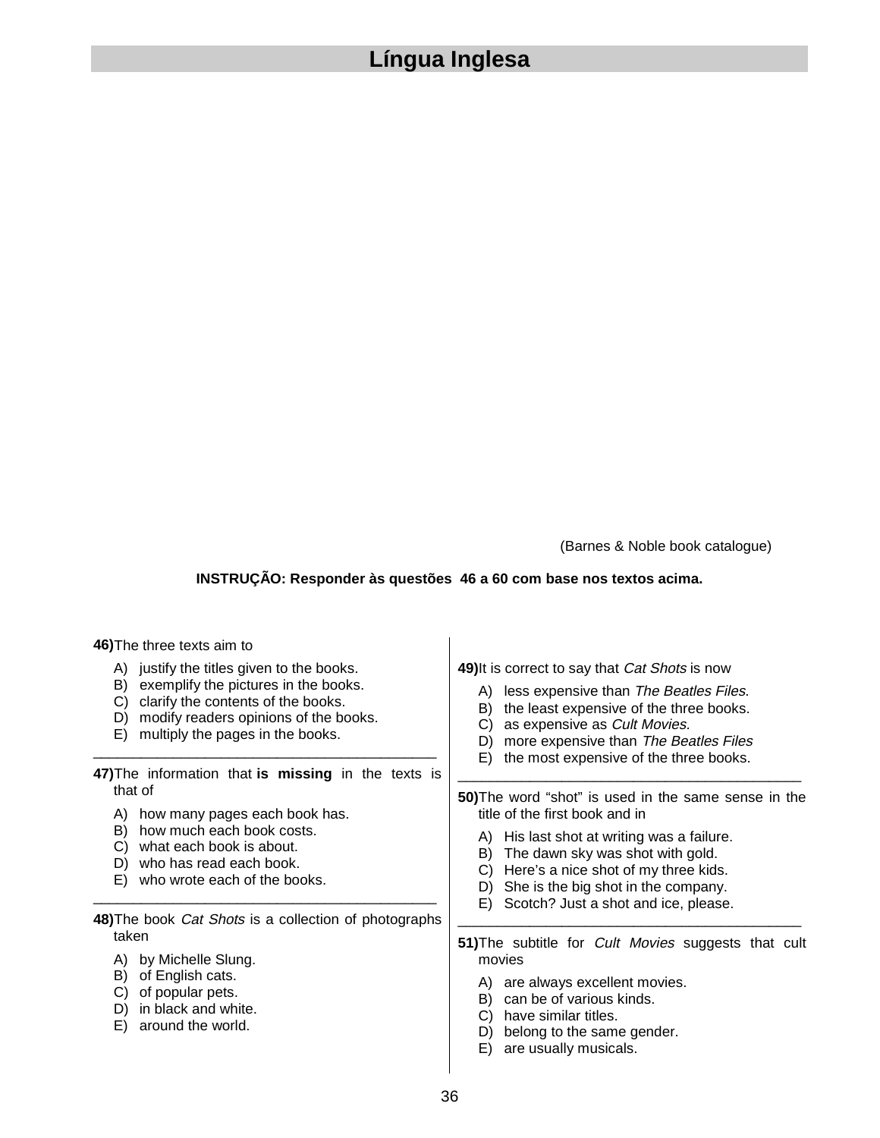## **Língua Inglesa**

(Barnes & Noble book catalogue)

## **INSTRUÇÃO: Responder às questões 46 a 60 com base nos textos acima.**

## **46)**The three texts aim to

- A) justify the titles given to the books.
- B) exemplify the pictures in the books.
- C) clarify the contents of the books.
- D) modify readers opinions of the books.
- E) multiply the pages in the books.
- **47)**The information that **is missing** in the texts is that of

\_\_\_\_\_\_\_\_\_\_\_\_\_\_\_\_\_\_\_\_\_\_\_\_\_\_\_\_\_\_\_\_\_\_\_\_\_\_\_\_\_\_\_

- A) how many pages each book has.
- B) how much each book costs.
- C) what each book is about.
- D) who has read each book.
- E) who wrote each of the books.

## **48)**The book Cat Shots is a collection of photographs taken

\_\_\_\_\_\_\_\_\_\_\_\_\_\_\_\_\_\_\_\_\_\_\_\_\_\_\_\_\_\_\_\_\_\_\_\_\_\_\_\_\_\_\_

- A) by Michelle Slung.
- B) of English cats.
- C) of popular pets.
- D) in black and white.
- E) around the world.

**49)**It is correct to say that Cat Shots is now

- A) less expensive than The Beatles Files.
- B) the least expensive of the three books.
- C) as expensive as Cult Movies.
- D) more expensive than The Beatles Files
- E) the most expensive of the three books.

**50)**The word "shot" is used in the same sense in the title of the first book and in

\_\_\_\_\_\_\_\_\_\_\_\_\_\_\_\_\_\_\_\_\_\_\_\_\_\_\_\_\_\_\_\_\_\_\_\_\_\_\_\_\_\_\_

- A) His last shot at writing was a failure.
- B) The dawn sky was shot with gold.
- C) Here's a nice shot of my three kids.
- D) She is the big shot in the company.
- E) Scotch? Just a shot and ice, please.

**51)**The subtitle for Cult Movies suggests that cult movies

\_\_\_\_\_\_\_\_\_\_\_\_\_\_\_\_\_\_\_\_\_\_\_\_\_\_\_\_\_\_\_\_\_\_\_\_\_\_\_\_\_\_\_

- A) are always excellent movies.
- B) can be of various kinds.
- C) have similar titles.
- D) belong to the same gender.
- E) are usually musicals.